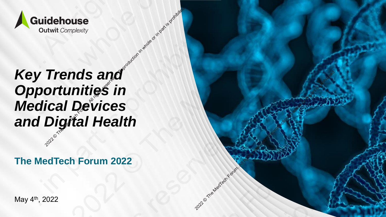

## *Key Trends and Opportunities in Medical Devices*  **Opportunities in<br>
Medical Devices<br>
and Digital Health** idehouse<br>
2022 Mutual Complexity<br>
2022 **Trends and<br>
2022 Trends in Part In Part In Part is property<br>
Digital Health** nds and<br>mities in<br>Devices<br>thal Health<br>h Forum 2022 2022<br>2022<br>2021 May 4<sup>th</sup>, 2022<br>2022<br>202<sup>2</sup> May 4<sup>th</sup>, 2022 Equidehouse<br>
2021 Rey Trends and<br>
Opportunities in<br>
Medical Devices<br>
and Digital Health<br>
The MedTech Forum 2022<br>
May 4<sup>9, 2022</sup> Equidehouse<br>
2021 Coutwrit Connect<br>
2022 May 4<sup>w</sup>, 2022<br>
May 4<sup>w</sup>, 2022<br>
May 4<sup>w</sup>, 2022 Equidehouse<br>
2021 Rey Trends and<br>
Opportunities in<br>
Medical Devices<br>
and Digital Health<br>
The MedTech Forum 2022<br>
May 4<sup>9, 2022</sup> Ederbouse<br>2021 Trends and<br>2021 Original Health<br>Digitial Health<br>edTech Forum 2022<br>2022 Equidehouse<br>
2021 Rey Trends and<br>
Opportunities in<br>
Medical Devices<br>
and Digital Health<br>
The MedTech Forum 2022<br>
May 4<sup>9, 2022</sup>

**The MedTech Forum 2022**

2022 or the MedTech Forum.

May 4th, 2022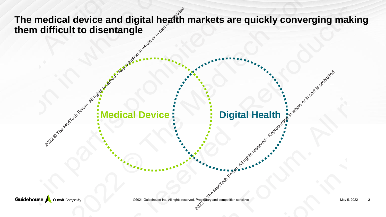The medical device and digital health markets are quickly converging making **them difficult to disentangle Medical Device Digital Health and Medical Device** Production in whole or in the Medical Device of the Medical Device of the Medical Device of the Medical Health of the Medical Device of the Medical Health of the All rig 2022 Contrast of the Medical Device Contrast of the Medical Device Contrast or in whole or in part is problem in the contrast of the Contrast of the Contrast or in the Contrast of the Contrast or in the Contrast of the Con 2021 Control Correction in part is property of the Correction in the part is property of the Correction in the part is property of the Correction in the part is property of the Correction in the part is property of the Cor The medical device and digital health markets are quickly converging making<br>them difficult to disentangle<br>the medical Device of the Medical Device of the Medical Device of the Medical Device of the Medical Device of the Me 2021 The medical device and digital health markets are quickly converging reproduction of the Medical Device of the Medical Device of the Medical Device of the Medical Device of the Medical Device of the Medical Device of The medical device and digital health markets are quickly converging making<br>them difficult to disentangle<br>the medical Device of the Medical Device of the Medical Device of the Medical Device of the Medical Device of the Me 2021 Property and All rights reserved and digital health markets are quickly converging making<br>all rights reserved and the Medical Device of the Medical Device of the Medical Health or in the Medical Health or in part is p The medical device and digital health markets are quickly converging making<br>them difficult to disentangle<br>the medical Device of the Medical Device of the Medical Device of the Medical Device of the Medical Device of the Me

**Digital Health is a series of in part is production in the All rights respectively.**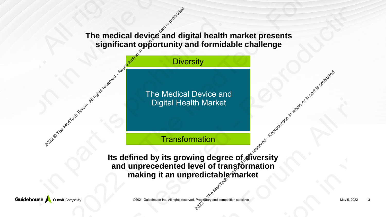### **The medical device and digital health market presents Significant opportunity and formidable challenge**<br> **Significant opportunity and formidable challenge**<br>
<sup>Diversity<br>
The Medical Device and<br>
Digital Health Market<br>
Transformation</sup>

**Diversity** 

The Medical Device and Digital Health Market

**Transformation** 

Its defined by its growing degree of diversity **and unprecedented level of transformation making it an unpredictable market**  2022 Octobris respectively. All rights reserved in part is prohibited The medical device and digital health market presents<br>
significant opportunity and formidable challenge<br>
Diversity<br>
The Medical Device and<br>
Digital Health Market<br>
Transformation<br>
Its defined by its growing degree of aliver The medical device and digital healt<br>
significant opportunity and formi<br>
Diversity<br>
Diversity<br>
Transformation<br>
Reproduction in a subject of the making it an unpredictable<br>
Reproduce and unprecedented level of transformatio The medical device and significant opportunity and formidable challenge<br>
Elimination Digital Health Market<br>
The Medical Device and<br>
The Medical Device and<br>
Digital Health Market<br>
Transformation<br>
Is defined by its growing d The medical device and digital health market presents<br>
significant opportunity and formidable challenge<br>
Diversity<br>
The Medical Device and<br>
Digital Health Market<br>
Transformation<br>
Its defined by its growing degree of afvers The medical device and significant opportunity and formidable challenge<br>
Elimination Digital Health Market<br>
The Medical Device and<br>
The Medical Device and<br>
Digital Health Market<br>
Transformation<br>
Is defined by its growing d The medical device and significant opportunity and formidable challenge<br>
Diversity<br>
Diversity<br>
The Medical Device and<br>
Digital Health Market<br>
Transformation<br>
Its defined by its growing degree of alversity<br>
and unprecedente The medical device and significant opportunity and formidable challenge<br>
Elimination Digital Health Market<br>
The Medical Device and<br>
The Medical Device and<br>
Digital Health Market<br>
Transformation<br>
Is defined by its growing d

©2021 Guidehouse Inc. All rights reserved. Proprietary and competition sensitive. May 5, 2022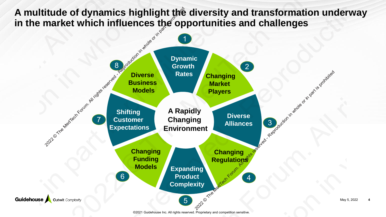A multitude of dynamics highlight the diversity and transformation underway in the market which influences the opportunities and challenges

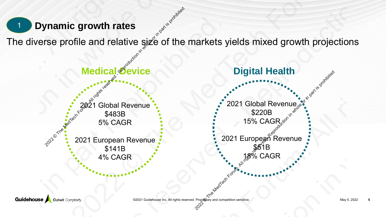### **Dynamic growth rates**

The diverse profile and relative size of the markets yields mixed growth projections

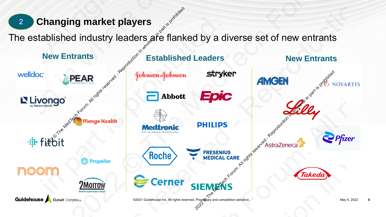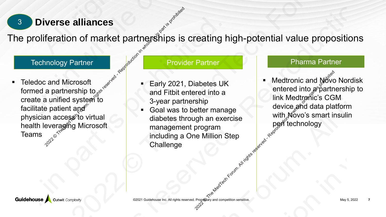

The proliferation of market partnerships is creating high-potential value propositions

### Technology Partner Partner Provider Partner Partner Pharma Partner

**E** Teledoc and Microsoft formed a partnership to $_{\diamond}$ create a unified systeা`to facilitate patient and  $\delta$ physician access to virtual health leveraging Microsoft **12. Diverse alliances**<br>
2021 Technology Partner<br>
Teledoc and Microsoft<br>
Teledoc and Microsoft<br>
create a unified system to<br>
facilitate patient and<br>
physician access to virtual<br>
health leveraging Microsoft<br>
Teams **2021** Observed and Microsoft<br>
Technology Partner<br>
Technology Partner<br>
Technology Partner<br>
Technology Partner<br>
formed a partnership to served and Fitbit entered into a<br>
create a unified system to<br>
facilitate patient angle **2021** Diverse alliances<br>
The proliferation of market partnership is is creating high-potential value propositions<br>
Technology Partner<br>
Technology Partner<br>
From an All rights reserved in the propartnership to<br>
create a un 2021 Diverse alliances<br>
Technology Partner<br>
Technology Partner<br>
Teledoc and Microsoft<br>
formed a partnership to example of the Reproduction in a Reproduction in a Figure of the Collision careate a unified system for<br>
crea **2021** Diverse alliances<br>
The proliferation of market partnership is is creating high-potential value propositions<br>
Technology Partner<br>
Technology Partner<br>
From an All rights reserved in the propartnership to<br>
create a un **2021** Diverse alliances<br>
The proliferation of market partnership is is creating high-potential value propositions<br>
Technology Partner<br>
Technology Partner<br>
From an All rights reserved in the propartnership to<br>
create a un

- Early 2021, Diabetes UK and Fitbit entered into a 3-year partnership
- Goal was to better manage diabetes through an exercise management program including a One Million Step **Challenge**

Medtronic and Novo Nordisk entered into  $a^{\circ}$  partnership to link Medtronic's CGM device and data platform with Novo's smart insulin pen technology Propeding and competition sensitive.<br>
Propeding and competition sensitive.<br>
The Medit Medit of the Medit of the Contract of the Medit of the Medit of the Medit of the Contract of the Medit or in part is part in part is pro **2022** Provider Partner<br>
Provider Partner<br>
Provider Partner<br>
Crossoft<br>
and Fitbit entered into a<br>
system to<br>
and Fitbit entered into a<br>
system to<br>
and Fitbit entered into a<br>
system of the Meditoric and New Portnership<br>
con 2021 Diabetes Breading Provider Partner<br>
2021 Diabetes UK<br>
2021 Partner<br>
2021 Partner<br>
2021 Diabetes UK<br>
2021 Diabetes UK<br>
2021 Diabetes UK<br>
2021 Diabetes UK<br>
2021 Diabetes UK<br>
2021 Diabetes UK<br>
2021 Diabetes UK<br>
2021 Dia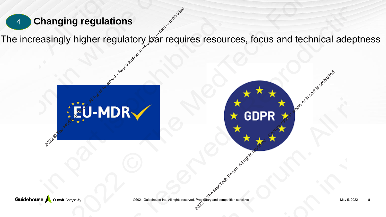The increasingly higher regulatory bar requires resources, focus and technical adeptness

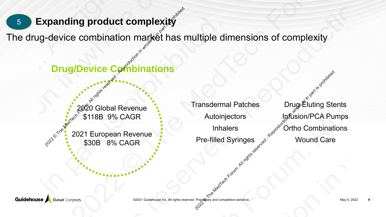### 5 **Expanding product complexity**

The drug-device combination market has multiple dimensions of complexity 2021 European Revenue<br>
20221 European Revenue<br>
20221 European Revenue<br>
20221 European Revenue<br>
20221 European Revenue<br>
20221 European Revenue<br>
20221 European Revenue<br>
20221 European Revenue<br>
20221 European Revenue<br>
2022 -

**Drug/Device Compinations** 

2020 Global Revenue \$118B 9% CAGR

2021 European Revenue \$30B 8% CAGR

Transdermal Patches Drug Eluting Stents Autoinjectors Infusion/PCA Pumps Inhalers  $\mathbb{R}^{\infty}$  Ortho Combinations Fre-filled Syringes Account Care 2021 European Revenue<br>
2021 European Revenue<br>
2021 European Revenue<br>
2021 European Revenue<br>
2021 European Revenue<br>
2021 European Revenue<br>
2021 European Revenue<br>
2021 European Revenue<br>
2021 Propedialy and competition sensitive. 2021 European Revenue Complexity<br>
2020 Global Revenue - Transdemal Patches<br>
2021 European Revenue - Transdemal Patches<br>
2021 European Revenue - Transdemal Patches<br>
2021 European Revenue - Inhalers Mutolinictors Inhalers So 2021 European Revenue Pre-filled Syringes<br>
2021 European Revenue Complexity<br>
2021 European Revenue Pre-filled Syringes<br>
2021 European Revenue Pre-filled Syringes<br>
2021 European Revenue Pre-filled Syringes<br>
2021 European Re 2021 European Revenue Pre-filled Syringes<br>
2021 European Revenue Pre-filled Syringes<br>
2021 European Revenue Pre-filled Syringes<br>
2021 European Revenue Pre-filled Syringes<br>
2021 European Revenue Pre-filled Syringes<br>
2021 Eu 2021 European Revenue Pre-filled Syringes<br>
2021 European Revenue Complexity<br>
2021 European Revenue Pre-filled Syringes<br>
2021 European Revenue Pre-filled Syringes<br>
2021 European Revenue Pre-filled Syringes<br>
2021 European Re 2021 European Revenue Constant For Supplementary and Constant Constant Constant Constant Constant Constant Constant Constant Constant Constant Constant Constant Constant Constant Constant Constant Constant Constant Constan 2021 European Revenue Pre-filled Syringes<br>
2021 European Revenue Complexity<br>
2021 European Revenue Pre-filled Syringes<br>
2021 European Revenue Pre-filled Syringes<br>
2021 European Revenue Pre-filled Syringes<br>
2021 European Re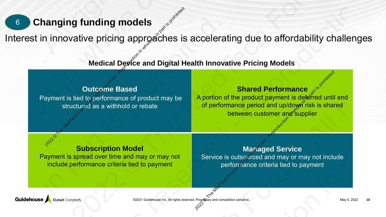### 6 **Changing funding models**

Interest in innovative pricing approaches is accelerating due to affordability challenges **Medical Device and Digital Health Innovative Pricing Models**<br>
Medical Device and Digital Health Innovative Pricing Models<br>
2022 Coutcome Based<br>
2022 Coutcome Based Shared Performance of product may be a smithhold or rebat 2021 Changing funding models<br>
2021 Changing approaches is acceler.<br>
2021 Changing approaches is acceler.<br>
2021 Changing Based<br>
2021 Changing Subscription Model<br>
2021 Changing Supplement<br>
2021 Changing Supplement<br>
2021 Chan 2021 Constitution of the Medical Device and Digital Health Innovative Pricing Models<br>
2022 Commenter State Device and Digital Health Innovative Pricing Models<br>
Payment is ited to performance of product may be<br>
2021 Comment 2022 Changing funding models<br>
2022 Changing funding models<br>
2022<br>
Medical Device and Digital Health Innovative Pricing Models<br>
2022<br>
Payment is lied to performance of product may be<br>
2022<br>
Payment is lied to performance or 2021 Constitution of the Medical Device and Digital Health Innovative Pricing Models<br>
2022 Commenter State Device and Digital Health Innovative Pricing Models<br>
Payment is ited to performance of product may be<br>
2021 Comment 2022 material reserved and the Medicine of the Medicine or in particular term and the model of the Medicine or in part is itself to performance of product range or in part is itself to performance of product range or in p 2021 Constitution of the Medical Device and Digital Health Innovative Pricing Models<br>
2022 Commenter State Device and Digital Health Innovative Pricing Models<br>
Payment is ited to performance of product may be<br>
2021 Comment

### **Outcome Based**

Payment is tied to performance of product may be structured as a withhold or rebate

### **Shared Performance**

A portion of the product payment is deferred until end of performance period and up/down risk is shared between customer and supplier **2022 CHARGE SERVER CHARGE FOR ALL PROPERTY AND CHARGE FOR ALL REPRODUCED**<br>
Service is outscared and may or may not include<br>
performance criteria tied to payment<br>
Property and competition sensitive. 2022<br>
2022 Production and Digital Health Innovative Pricing Models<br>
2022 Control and Digital Health Innovative Pricing Models<br>
2022 Control and the Medical Development is defended and updot pricing in the second control an

### **Subscription Model**

Payment is spread over time and may or may not include performance criteria tied to payment

### **Managed Service**

Service is outsourced and may or may not include performance criteria tied to payment

©2021 Guidehouse Inc. All rights reserved. Propr**@tary and competition sensitive.** May 5, 2022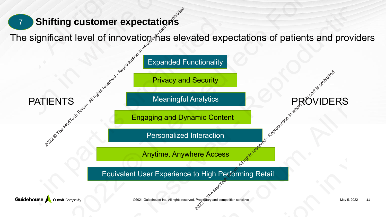### **Shifting customer expectations**

The significant level of innovation has elevated expectations of patients and providers

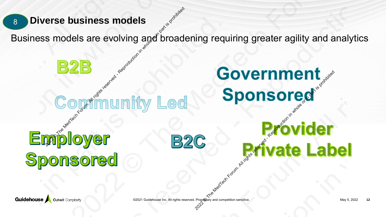Business models are evolving and broadening requiring greater agility and analytics

# **8 Diverse business models<br>
2022 Containing and probability in the Media Containing reserved and part is proposed and part is proposed and part is probable of the Media Contains reserved and the part is probable to the Med** Covernment<br>
2022 **Provider<br>
2022 Private Label** Provider Covernment<br>
2022 Covernment<br>
Covernment<br>
Covernment<br>
Sponsored<br>
B2C Private Label<br>
Sored. Business models are evolving and broadening records are evolving and broadening records and the media or in the media or in part is a served or in the correction of the correction in the correction of the correction of the Business models<br>
22<br>
Business models are evolving and broadening requiring greater agility and analytics<br>
22<br>
Contribution in the Media Sponsored.<br>
22<br>
Private Label<br>
Sponsored. 2021 © The MedTech Forum. All rights reserved - Reproduction in whole or in part is prohibited. Business models<br>
22<br>
Business models are evolving and broadening requiring greater agility and analytics<br>
22<br>
Contribution in the Media Sponsored.<br>
22<br>
Private Label<br>
Sponsored. EXALE SERIES TO THE MEDIA CONSUMERTY OF THE MEDIA REPRODUCT ON THE MANUS OF THE MANUS OF THE MANUS OF THE MANUS OF THE MANUS OF THE MANUS OF THE MANUS OF THE MANUS OF THE MANUS OF THE MANUS OF THE MANUS OF THE MANUS OF THE Business models<br>
22<br>
Business models are evolving and broadening requiring greater agility and analytics<br>
22<br>
Contribution in the Media Sponsored.<br>
22<br>
Private Label<br>
Sponsored.

©2021 Guidehouse Inc. All rights reserved. Propri**et**ary and competition sensitive. May 5, 2022 **12** May 5, 2022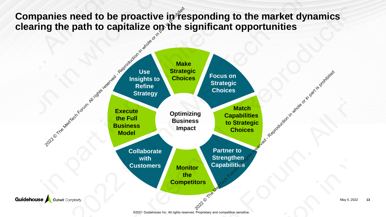**Companies need to be proactive in responding to the market dynamics clearing the path to capitalize on the significant opportunities**

![](_page_12_Figure_1.jpeg)